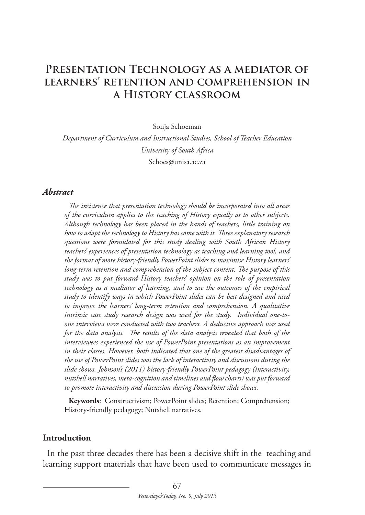# PRESENTATION TECHNOLOGY AS A MEDIATOR OF **learners' retention and comprehension in a History classroom**

Sonja Schoeman

*Department of Curriculum and Instructional Studies, School of Teacher Education University of South Africa* Schoes@unisa.ac.za

#### *Abstract*

*The insistence that presentation technology should be incorporated into all areas of the curriculum applies to the teaching of History equally as to other subjects. Although technology has been placed in the hands of teachers, little training on how to adapt the technology to History has come with it. Three explanatory research questions were formulated for this study dealing with South African History teachers' experiences of presentation technology as teaching and learning tool, and the format of more history-friendly PowerPoint slides to maximise History learners' long-term retention and comprehension of the subject content. The purpose of this study was to put forward History teachers' opinion on the role of presentation technology as a mediator of learning, and to use the outcomes of the empirical study to identify ways in which PowerPoint slides can be best designed and used to improve the learners' long-term retention and comprehension. A qualitative intrinsic case study research design was used for the study. Individual one-toone interviews were conducted with two teachers. A deductive approach was used for the data analysis. The results of the data analysis revealed that both of the interviewees experienced the use of PowerPoint presentations as an improvement in their classes. However, both indicated that one of the greatest disadvantages of the use of PowerPoint slides was the lack of interactivity and discussions during the slide shows. Johnson's (2011) history-friendly PowerPoint pedagogy (interactivity, nutshell narratives, meta-cognition and timelines and flow charts) was put forward to promote interactivity and discussion during PowerPoint slide shows.*

**Keywords**: Constructivism; PowerPoint slides; Retention; Comprehension; History-friendly pedagogy; Nutshell narratives.

#### **Introduction**

In the past three decades there has been a decisive shift in the teaching and learning support materials that have been used to communicate messages in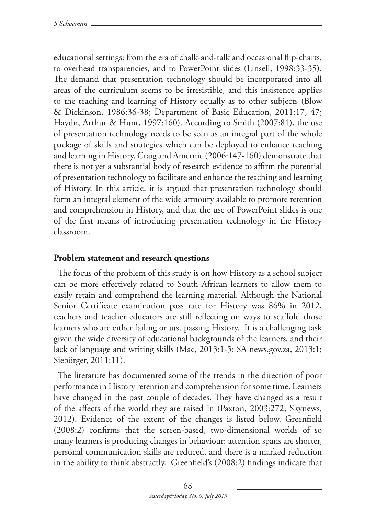educational settings: from the era of chalk-and-talk and occasional flip-charts, to overhead transparencies, and to PowerPoint slides (Linsell, 1998:33-35). The demand that presentation technology should be incorporated into all areas of the curriculum seems to be irresistible, and this insistence applies to the teaching and learning of History equally as to other subjects (Blow & Dickinson, 1986:36-38; Department of Basic Education, 2011:17, 47; Haydn, Arthur & Hunt, 1997:160). According to Smith (2007:81), the use of presentation technology needs to be seen as an integral part of the whole package of skills and strategies which can be deployed to enhance teaching and learning in History. Craig and Amernic (2006:147-160) demonstrate that there is not yet a substantial body of research evidence to affirm the potential of presentation technology to facilitate and enhance the teaching and learning of History. In this article, it is argued that presentation technology should form an integral element of the wide armoury available to promote retention and comprehension in History, and that the use of PowerPoint slides is one of the first means of introducing presentation technology in the History classroom.

### **Problem statement and research questions**

The focus of the problem of this study is on how History as a school subject can be more effectively related to South African learners to allow them to easily retain and comprehend the learning material. Although the National Senior Certificate examination pass rate for History was 86% in 2012, teachers and teacher educators are still reflecting on ways to scaffold those learners who are either failing or just passing History. It is a challenging task given the wide diversity of educational backgrounds of the learners, and their lack of language and writing skills (Mac, 2013:1-5; SA news.gov.za, 2013:1; Siebörger, 2011:11).

The literature has documented some of the trends in the direction of poor performance in History retention and comprehension for some time. Learners have changed in the past couple of decades. They have changed as a result of the affects of the world they are raised in (Paxton, 2003:272; Skynews, 2012). Evidence of the extent of the changes is listed below. Greenfield (2008:2) confirms that the screen-based, two-dimensional worlds of so many learners is producing changes in behaviour: attention spans are shorter, personal communication skills are reduced, and there is a marked reduction in the ability to think abstractly. Greenfield's (2008:2) findings indicate that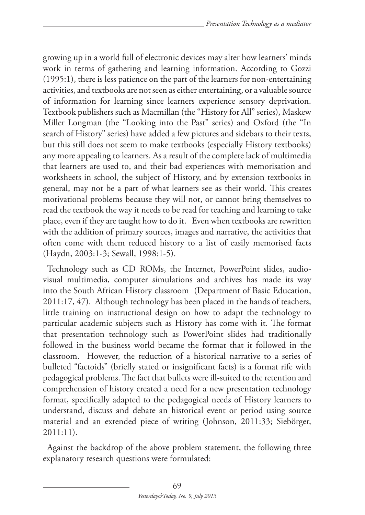growing up in a world full of electronic devices may alter how learners' minds work in terms of gathering and learning information. According to Gozzi (1995:1), there is less patience on the part of the learners for non-entertaining activities, and textbooks are not seen as either entertaining, or a valuable source of information for learning since learners experience sensory deprivation. Textbook publishers such as Macmillan (the "History for All" series), Maskew Miller Longman (the "Looking into the Past" series) and Oxford (the "In search of History" series) have added a few pictures and sidebars to their texts, but this still does not seem to make textbooks (especially History textbooks) any more appealing to learners. As a result of the complete lack of multimedia that learners are used to, and their bad experiences with memorisation and worksheets in school, the subject of History, and by extension textbooks in general, may not be a part of what learners see as their world. This creates motivational problems because they will not, or cannot bring themselves to read the textbook the way it needs to be read for teaching and learning to take place, even if they are taught how to do it. Even when textbooks are rewritten with the addition of primary sources, images and narrative, the activities that often come with them reduced history to a list of easily memorised facts (Haydn, 2003:1-3; Sewall, 1998:1-5).

Technology such as CD ROMs, the Internet, PowerPoint slides, audiovisual multimedia, computer simulations and archives has made its way into the South African History classroom (Department of Basic Education, 2011:17, 47). Although technology has been placed in the hands of teachers, little training on instructional design on how to adapt the technology to particular academic subjects such as History has come with it. The format that presentation technology such as PowerPoint slides had traditionally followed in the business world became the format that it followed in the classroom. However, the reduction of a historical narrative to a series of bulleted "factoids" (briefly stated or insignificant facts) is a format rife with pedagogical problems. The fact that bullets were ill-suited to the retention and comprehension of history created a need for a new presentation technology format, specifically adapted to the pedagogical needs of History learners to understand, discuss and debate an historical event or period using source material and an extended piece of writing (Johnson, 2011:33; Siebörger, 2011:11).

Against the backdrop of the above problem statement, the following three explanatory research questions were formulated: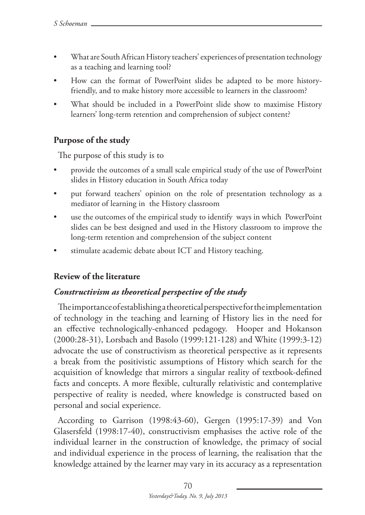- What are South African History teachers' experiences of presentation technology as a teaching and learning tool?
- How can the format of PowerPoint slides be adapted to be more historyfriendly, and to make history more accessible to learners in the classroom?
- What should be included in a PowerPoint slide show to maximise History learners' long-term retention and comprehension of subject content?

### **Purpose of the study**

The purpose of this study is to

- provide the outcomes of a small scale empirical study of the use of PowerPoint slides in History education in South Africa today
- • put forward teachers' opinion on the role of presentation technology as a mediator of learning in the History classroom
- • use the outcomes of the empirical study to identify ways in which PowerPoint slides can be best designed and used in the History classroom to improve the long-term retention and comprehension of the subject content
- stimulate academic debate about ICT and History teaching.

## **Review of the literature**

## *Constructivism as theoretical perspective of the study*

The importance of establishing a theoretical perspective for the implementation of technology in the teaching and learning of History lies in the need for an effective technologically-enhanced pedagogy. Hooper and Hokanson (2000:28-31), Lorsbach and Basolo (1999:121-128) and White (1999:3-12) advocate the use of constructivism as theoretical perspective as it represents a break from the positivistic assumptions of History which search for the acquisition of knowledge that mirrors a singular reality of textbook-defined facts and concepts. A more flexible, culturally relativistic and contemplative perspective of reality is needed, where knowledge is constructed based on personal and social experience.

According to Garrison (1998:43-60), Gergen (1995:17-39) and Von Glasersfeld (1998:17-40), constructivism emphasises the active role of the individual learner in the construction of knowledge, the primacy of social and individual experience in the process of learning, the realisation that the knowledge attained by the learner may vary in its accuracy as a representation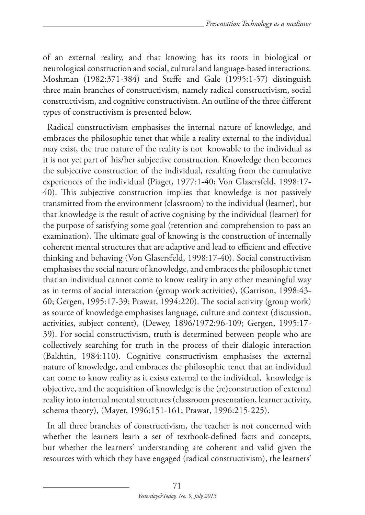of an external reality, and that knowing has its roots in biological or neurological construction and social, cultural and language-based interactions. Moshman (1982:371-384) and Steffe and Gale (1995:1-57) distinguish three main branches of constructivism, namely radical constructivism, social constructivism, and cognitive constructivism. An outline of the three different types of constructivism is presented below.

Radical constructivism emphasises the internal nature of knowledge, and embraces the philosophic tenet that while a reality external to the individual may exist, the true nature of the reality is not knowable to the individual as it is not yet part of his/her subjective construction. Knowledge then becomes the subjective construction of the individual, resulting from the cumulative experiences of the individual (Piaget, 1977:1-40; Von Glasersfeld, 1998:17- 40). This subjective construction implies that knowledge is not passively transmitted from the environment (classroom) to the individual (learner), but that knowledge is the result of active cognising by the individual (learner) for the purpose of satisfying some goal (retention and comprehension to pass an examination). The ultimate goal of knowing is the construction of internally coherent mental structures that are adaptive and lead to efficient and effective thinking and behaving (Von Glasersfeld, 1998:17-40). Social constructivism emphasises the social nature of knowledge, and embraces the philosophic tenet that an individual cannot come to know reality in any other meaningful way as in terms of social interaction (group work activities), (Garrison, 1998:43- 60; Gergen, 1995:17-39; Prawat, 1994:220). The social activity (group work) as source of knowledge emphasises language, culture and context (discussion, activities, subject content), (Dewey, 1896/1972:96-109; Gergen, 1995:17- 39). For social constructivism, truth is determined between people who are collectively searching for truth in the process of their dialogic interaction (Bakhtin, 1984:110). Cognitive constructivism emphasises the external nature of knowledge, and embraces the philosophic tenet that an individual can come to know reality as it exists external to the individual, knowledge is objective, and the acquisition of knowledge is the (re)construction of external reality into internal mental structures (classroom presentation, learner activity, schema theory), (Mayer, 1996:151-161; Prawat, 1996:215-225).

In all three branches of constructivism, the teacher is not concerned with whether the learners learn a set of textbook-defined facts and concepts, but whether the learners' understanding are coherent and valid given the resources with which they have engaged (radical constructivism), the learners'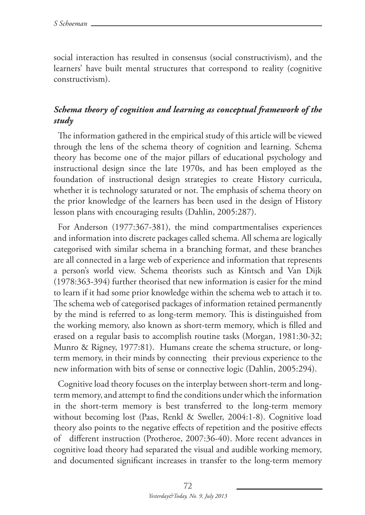social interaction has resulted in consensus (social constructivism), and the learners' have built mental structures that correspond to reality (cognitive constructivism).

## *Schema theory of cognition and learning as conceptual framework of the study*

The information gathered in the empirical study of this article will be viewed through the lens of the schema theory of cognition and learning. Schema theory has become one of the major pillars of educational psychology and instructional design since the late 1970s, and has been employed as the foundation of instructional design strategies to create History curricula, whether it is technology saturated or not. The emphasis of schema theory on the prior knowledge of the learners has been used in the design of History lesson plans with encouraging results (Dahlin, 2005:287).

For Anderson (1977:367-381), the mind compartmentalises experiences and information into discrete packages called schema. All schema are logically categorised with similar schema in a branching format, and these branches are all connected in a large web of experience and information that represents a person's world view. Schema theorists such as Kintsch and Van Dijk (1978:363-394) further theorised that new information is easier for the mind to learn if it had some prior knowledge within the schema web to attach it to. The schema web of categorised packages of information retained permanently by the mind is referred to as long-term memory. This is distinguished from the working memory, also known as short-term memory, which is filled and erased on a regular basis to accomplish routine tasks (Morgan, 1981:30-32; Munro & Rigney, 1977:81). Humans create the schema structure, or longterm memory, in their minds by connecting their previous experience to the new information with bits of sense or connective logic (Dahlin, 2005:294).

Cognitive load theory focuses on the interplay between short-term and longterm memory, and attempt to find the conditions under which the information in the short-term memory is best transferred to the long-term memory without becoming lost (Paas, Renkl & Sweller, 2004:1-8). Cognitive load theory also points to the negative effects of repetition and the positive effects of different instruction (Protheroe, 2007:36-40). More recent advances in cognitive load theory had separated the visual and audible working memory, and documented significant increases in transfer to the long-term memory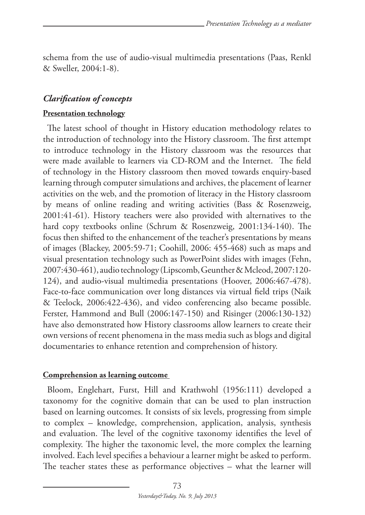schema from the use of audio-visual multimedia presentations (Paas, Renkl & Sweller, 2004:1-8).

## *Clarification of concepts*

### **Presentation technology**

The latest school of thought in History education methodology relates to the introduction of technology into the History classroom. The first attempt to introduce technology in the History classroom was the resources that were made available to learners via CD-ROM and the Internet. The field of technology in the History classroom then moved towards enquiry-based learning through computer simulations and archives, the placement of learner activities on the web, and the promotion of literacy in the History classroom by means of online reading and writing activities (Bass & Rosenzweig, 2001:41-61). History teachers were also provided with alternatives to the hard copy textbooks online (Schrum & Rosenzweig, 2001:134-140). The focus then shifted to the enhancement of the teacher's presentations by means of images (Blackey, 2005:59-71; Coohill, 2006: 455-468) such as maps and visual presentation technology such as PowerPoint slides with images (Fehn, 2007:430-461), audio technology (Lipscomb, Geunther & Mcleod, 2007:120- 124), and audio-visual multimedia presentations (Hoover, 2006:467-478). Face-to-face communication over long distances via virtual field trips (Naik & Teelock, 2006:422-436), and video conferencing also became possible. Ferster, Hammond and Bull (2006:147-150) and Risinger (2006:130-132) have also demonstrated how History classrooms allow learners to create their own versions of recent phenomena in the mass media such as blogs and digital documentaries to enhance retention and comprehension of history.

#### **Comprehension as learning outcome**

Bloom, Englehart, Furst, Hill and Krathwohl (1956:111) developed a taxonomy for the cognitive domain that can be used to plan instruction based on learning outcomes. It consists of six levels, progressing from simple to complex – knowledge, comprehension, application, analysis, synthesis and evaluation. The level of the cognitive taxonomy identifies the level of complexity. The higher the taxonomic level, the more complex the learning involved. Each level specifies a behaviour a learner might be asked to perform. The teacher states these as performance objectives – what the learner will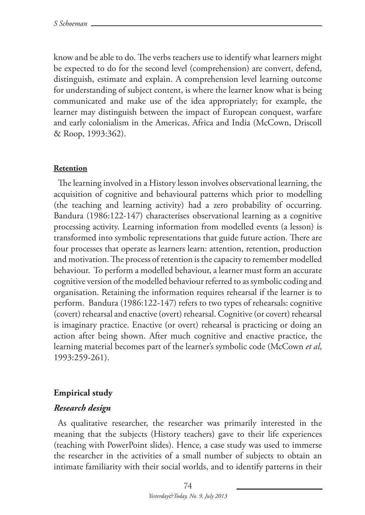know and be able to do. The verbs teachers use to identify what learners might be expected to do for the second level (comprehension) are convert, defend, distinguish, estimate and explain. A comprehension level learning outcome for understanding of subject content, is where the learner know what is being communicated and make use of the idea appropriately; for example, the learner may distinguish between the impact of European conquest, warfare and early colonialism in the Americas, Africa and India (McCown, Driscoll & Roop, 1993:362).

#### **Retention**

The learning involved in a History lesson involves observational learning, the acquisition of cognitive and behavioural patterns which prior to modelling (the teaching and learning activity) had a zero probability of occurring. Bandura (1986:122-147) characterises observational learning as a cognitive processing activity. Learning information from modelled events (a lesson) is transformed into symbolic representations that guide future action. There are four processes that operate as learners learn: attention, retention, production and motivation. The process of retention is the capacity to remember modelled behaviour. To perform a modelled behaviour, a learner must form an accurate cognitive version of the modelled behaviour referred to as symbolic coding and organisation. Retaining the information requires rehearsal if the learner is to perform. Bandura (1986:122-147) refers to two types of rehearsals: cognitive (covert) rehearsal and enactive (overt) rehearsal. Cognitive (or covert) rehearsal is imaginary practice. Enactive (or overt) rehearsal is practicing or doing an action after being shown. After much cognitive and enactive practice, the learning material becomes part of the learner's symbolic code (McCown *et al*, 1993:259-261).

#### **Empirical study**

#### *Research design*

As qualitative researcher, the researcher was primarily interested in the meaning that the subjects (History teachers) gave to their life experiences (teaching with PowerPoint slides). Hence, a case study was used to immerse the researcher in the activities of a small number of subjects to obtain an intimate familiarity with their social worlds, and to identify patterns in their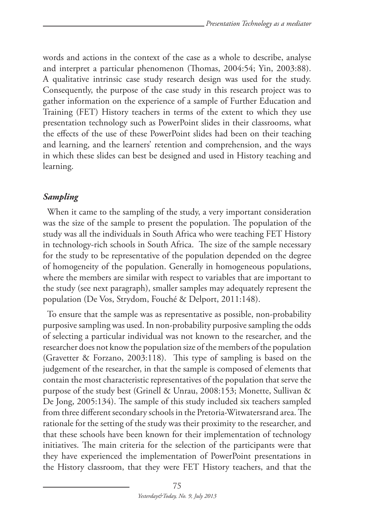words and actions in the context of the case as a whole to describe, analyse and interpret a particular phenomenon (Thomas, 2004:54; Yin, 2003:88). A qualitative intrinsic case study research design was used for the study. Consequently, the purpose of the case study in this research project was to gather information on the experience of a sample of Further Education and Training (FET) History teachers in terms of the extent to which they use presentation technology such as PowerPoint slides in their classrooms, what the effects of the use of these PowerPoint slides had been on their teaching and learning, and the learners' retention and comprehension, and the ways in which these slides can best be designed and used in History teaching and learning.

### *Sampling*

When it came to the sampling of the study, a very important consideration was the size of the sample to present the population. The population of the study was all the individuals in South Africa who were teaching FET History in technology-rich schools in South Africa. The size of the sample necessary for the study to be representative of the population depended on the degree of homogeneity of the population. Generally in homogeneous populations, where the members are similar with respect to variables that are important to the study (see next paragraph), smaller samples may adequately represent the population (De Vos, Strydom, Fouché & Delport, 2011:148).

To ensure that the sample was as representative as possible, non-probability purposive sampling was used. In non-probability purposive sampling the odds of selecting a particular individual was not known to the researcher, and the researcher does not know the population size of the members of the population (Gravetter & Forzano, 2003:118). This type of sampling is based on the judgement of the researcher, in that the sample is composed of elements that contain the most characteristic representatives of the population that serve the purpose of the study best (Grinell & Unrau, 2008:153; Monette, Sullivan & De Jong, 2005:134). The sample of this study included six teachers sampled from three different secondary schools in the Pretoria-Witwatersrand area. The rationale for the setting of the study was their proximity to the researcher, and that these schools have been known for their implementation of technology initiatives. The main criteria for the selection of the participants were that they have experienced the implementation of PowerPoint presentations in the History classroom, that they were FET History teachers, and that the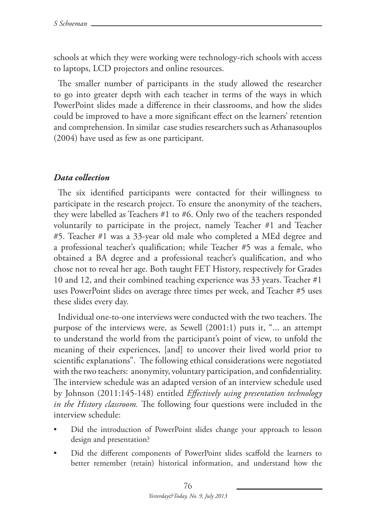schools at which they were working were technology-rich schools with access to laptops, LCD projectors and online resources.

The smaller number of participants in the study allowed the researcher to go into greater depth with each teacher in terms of the ways in which PowerPoint slides made a difference in their classrooms, and how the slides could be improved to have a more significant effect on the learners' retention and comprehension. In similar case studies researchers such as Athanasouplos (2004) have used as few as one participant.

## *Data collection*

The six identified participants were contacted for their willingness to participate in the research project. To ensure the anonymity of the teachers, they were labelled as Teachers #1 to #6. Only two of the teachers responded voluntarily to participate in the project, namely Teacher #1 and Teacher #5. Teacher #1 was a 33-year old male who completed a MEd degree and a professional teacher's qualification; while Teacher #5 was a female, who obtained a BA degree and a professional teacher's qualification, and who chose not to reveal her age. Both taught FET History, respectively for Grades 10 and 12, and their combined teaching experience was 33 years. Teacher #1 uses PowerPoint slides on average three times per week, and Teacher #5 uses these slides every day.

Individual one-to-one interviews were conducted with the two teachers. The purpose of the interviews were, as Sewell (2001:1) puts it, "... an attempt to understand the world from the participant's point of view, to unfold the meaning of their experiences, [and] to uncover their lived world prior to scientific explanations". The following ethical considerations were negotiated with the two teachers: anonymity, voluntary participation, and confidentiality. The interview schedule was an adapted version of an interview schedule used by Johnson (2011:145-148) entitled *Effectively using presentation technology in the History classroom.* The following four questions were included in the interview schedule:

- Did the introduction of PowerPoint slides change your approach to lesson design and presentation?
- • Did the different components of PowerPoint slides scaffold the learners to better remember (retain) historical information, and understand how the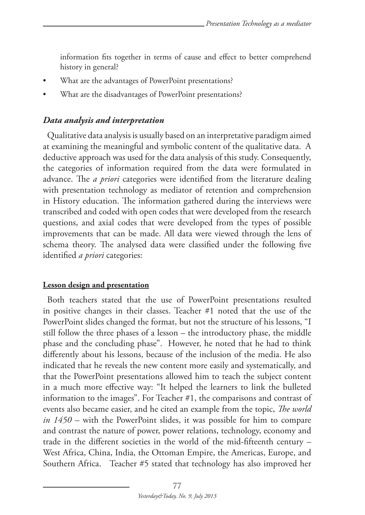information fits together in terms of cause and effect to better comprehend history in general?

- What are the advantages of PowerPoint presentations?
- What are the disadvantages of PowerPoint presentations?

### *Data analysis and interpretation*

Qualitative data analysis is usually based on an interpretative paradigm aimed at examining the meaningful and symbolic content of the qualitative data. A deductive approach was used for the data analysis of this study. Consequently, the categories of information required from the data were formulated in advance. The *a priori* categories were identified from the literature dealing with presentation technology as mediator of retention and comprehension in History education. The information gathered during the interviews were transcribed and coded with open codes that were developed from the research questions, and axial codes that were developed from the types of possible improvements that can be made. All data were viewed through the lens of schema theory. The analysed data were classified under the following five identified *a priori* categories:

#### **Lesson design and presentation**

Both teachers stated that the use of PowerPoint presentations resulted in positive changes in their classes. Teacher #1 noted that the use of the PowerPoint slides changed the format, but not the structure of his lessons, "I still follow the three phases of a lesson – the introductory phase, the middle phase and the concluding phase". However, he noted that he had to think differently about his lessons, because of the inclusion of the media. He also indicated that he reveals the new content more easily and systematically, and that the PowerPoint presentations allowed him to teach the subject content in a much more effective way: "It helped the learners to link the bulleted information to the images". For Teacher #1, the comparisons and contrast of events also became easier, and he cited an example from the topic, *The world in 1450* – with the PowerPoint slides, it was possible for him to compare and contrast the nature of power, power relations, technology, economy and trade in the different societies in the world of the mid-fifteenth century – West Africa, China, India, the Ottoman Empire, the Americas, Europe, and Southern Africa. Teacher #5 stated that technology has also improved her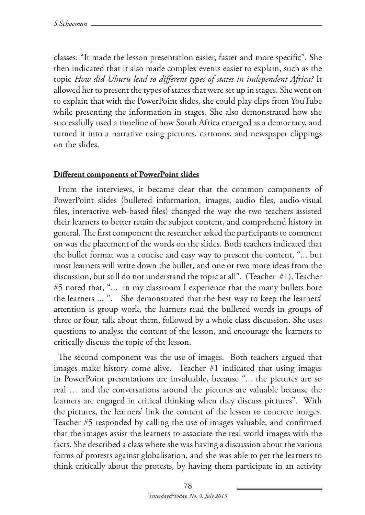classes: "It made the lesson presentation easier, faster and more specific". She then indicated that it also made complex events easier to explain, such as the topic *How did Uhuru lead to different types of states in independent Africa?* It allowed her to present the types of states that were set up in stages. She went on to explain that with the PowerPoint slides, she could play clips from YouTube while presenting the information in stages. She also demonstrated how she successfully used a timeline of how South Africa emerged as a democracy, and turned it into a narrative using pictures, cartoons, and newspaper clippings on the slides.

#### **Different components of PowerPoint slides**

From the interviews, it became clear that the common components of PowerPoint slides (bulleted information, images, audio files, audio-visual files, interactive web-based files) changed the way the two teachers assisted their learners to better retain the subject content, and comprehend history in general. The first component the researcher asked the participants to comment on was the placement of the words on the slides. Both teachers indicated that the bullet format was a concise and easy way to present the content, "... but most learners will write down the bullet, and one or two more ideas from the discussion, but still do not understand the topic at all". (Teacher #1). Teacher #5 noted that, "... in my classroom I experience that the many bullets bore the learners ... ". She demonstrated that the best way to keep the learners' attention is group work, the learners read the bulleted words in groups of three or four, talk about them, followed by a whole class discussion. She uses questions to analyse the content of the lesson, and encourage the learners to critically discuss the topic of the lesson.

The second component was the use of images. Both teachers argued that images make history come alive. Teacher #1 indicated that using images in PowerPoint presentations are invaluable, because "... the pictures are so real … and the conversations around the pictures are valuable because the learners are engaged in critical thinking when they discuss pictures". With the pictures, the learners' link the content of the lesson to concrete images. Teacher #5 responded by calling the use of images valuable, and confirmed that the images assist the learners to associate the real world images with the facts. She described a class where she was having a discussion about the various forms of protests against globalisation, and she was able to get the learners to think critically about the protests, by having them participate in an activity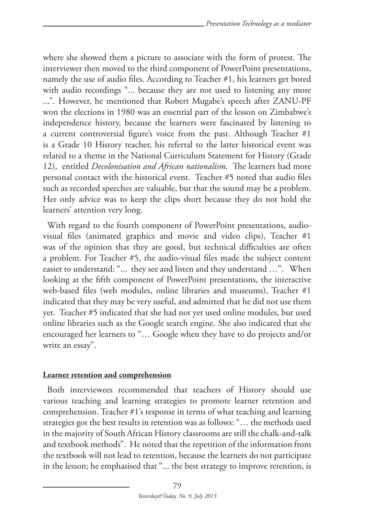where she showed them a picture to associate with the form of protest. The interviewer then moved to the third component of PowerPoint presentations, namely the use of audio files. According to Teacher #1, his learners get bored with audio recordings "... because they are not used to listening any more ...". However, he mentioned that Robert Mugabe's speech after ZANU-PF won the elections in 1980 was an essential part of the lesson on Zimbabwe's independence history, because the learners were fascinated by listening to a current controversial figure's voice from the past. Although Teacher #1 is a Grade 10 History teacher, his referral to the latter historical event was related to a theme in the National Curriculum Statement for History (Grade 12), entitled *Decolonisation and African nationalism*. The learners had more personal contact with the historical event. Teacher #5 noted that audio files such as recorded speeches are valuable, but that the sound may be a problem. Her only advice was to keep the clips short because they do not hold the learners' attention very long.

With regard to the fourth component of PowerPoint presentations, audiovisual files (animated graphics and movie and video clips), Teacher #1 was of the opinion that they are good, but technical difficulties are often a problem. For Teacher #5, the audio-visual files made the subject content easier to understand: "... they see and listen and they understand …". When looking at the fifth component of PowerPoint presentations, the interactive web-based files (web modules, online libraries and museums), Teacher #1 indicated that they may be very useful, and admitted that he did not use them yet. Teacher #5 indicated that she had not yet used online modules, but used online libraries such as the Google search engine. She also indicated that she encouraged her learners to "… Google when they have to do projects and/or write an essay".

## **Learner retention and comprehension**

Both interviewees recommended that teachers of History should use various teaching and learning strategies to promote learner retention and comprehension. Teacher #1's response in terms of what teaching and learning strategies got the best results in retention was as follows: "… the methods used in the majority of South African History classrooms are still the chalk-and-talk and textbook methods". He noted that the repetition of the information from the textbook will not lead to retention, because the learners do not participate in the lesson; he emphasised that "... the best strategy to improve retention, is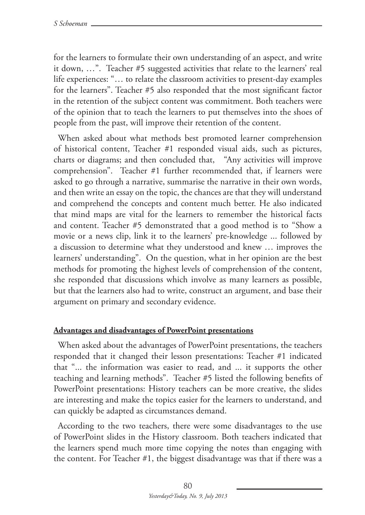for the learners to formulate their own understanding of an aspect, and write it down, …". Teacher #5 suggested activities that relate to the learners' real life experiences: "… to relate the classroom activities to present-day examples for the learners". Teacher #5 also responded that the most significant factor in the retention of the subject content was commitment. Both teachers were of the opinion that to teach the learners to put themselves into the shoes of people from the past, will improve their retention of the content.

When asked about what methods best promoted learner comprehension of historical content, Teacher #1 responded visual aids, such as pictures, charts or diagrams; and then concluded that, "Any activities will improve comprehension". Teacher #1 further recommended that, if learners were asked to go through a narrative, summarise the narrative in their own words, and then write an essay on the topic, the chances are that they will understand and comprehend the concepts and content much better. He also indicated that mind maps are vital for the learners to remember the historical facts and content. Teacher #5 demonstrated that a good method is to "Show a movie or a news clip, link it to the learners' pre-knowledge ... followed by a discussion to determine what they understood and knew … improves the learners' understanding". On the question, what in her opinion are the best methods for promoting the highest levels of comprehension of the content, she responded that discussions which involve as many learners as possible, but that the learners also had to write, construct an argument, and base their argument on primary and secondary evidence.

#### **Advantages and disadvantages of PowerPoint presentations**

When asked about the advantages of PowerPoint presentations, the teachers responded that it changed their lesson presentations: Teacher #1 indicated that "... the information was easier to read, and ... it supports the other teaching and learning methods". Teacher #5 listed the following benefits of PowerPoint presentations: History teachers can be more creative, the slides are interesting and make the topics easier for the learners to understand, and can quickly be adapted as circumstances demand.

According to the two teachers, there were some disadvantages to the use of PowerPoint slides in the History classroom. Both teachers indicated that the learners spend much more time copying the notes than engaging with the content. For Teacher #1, the biggest disadvantage was that if there was a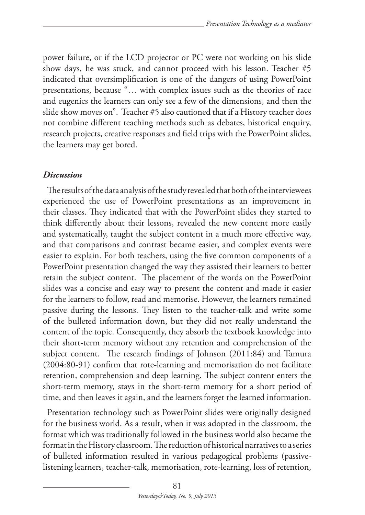power failure, or if the LCD projector or PC were not working on his slide show days, he was stuck, and cannot proceed with his lesson. Teacher #5 indicated that oversimplification is one of the dangers of using PowerPoint presentations, because "… with complex issues such as the theories of race and eugenics the learners can only see a few of the dimensions, and then the slide show moves on". Teacher #5 also cautioned that if a History teacher does not combine different teaching methods such as debates, historical enquiry, research projects, creative responses and field trips with the PowerPoint slides, the learners may get bored.

### *Discussion*

The results of the data analysis of the study revealed that both of the interviewees experienced the use of PowerPoint presentations as an improvement in their classes. They indicated that with the PowerPoint slides they started to think differently about their lessons, revealed the new content more easily and systematically, taught the subject content in a much more effective way, and that comparisons and contrast became easier, and complex events were easier to explain. For both teachers, using the five common components of a PowerPoint presentation changed the way they assisted their learners to better retain the subject content. The placement of the words on the PowerPoint slides was a concise and easy way to present the content and made it easier for the learners to follow, read and memorise. However, the learners remained passive during the lessons. They listen to the teacher-talk and write some of the bulleted information down, but they did not really understand the content of the topic. Consequently, they absorb the textbook knowledge into their short-term memory without any retention and comprehension of the subject content. The research findings of Johnson (2011:84) and Tamura (2004:80-91) confirm that rote-learning and memorisation do not facilitate retention, comprehension and deep learning. The subject content enters the short-term memory, stays in the short-term memory for a short period of time, and then leaves it again, and the learners forget the learned information.

Presentation technology such as PowerPoint slides were originally designed for the business world. As a result, when it was adopted in the classroom, the format which was traditionally followed in the business world also became the format in the History classroom. The reduction of historical narratives to a series of bulleted information resulted in various pedagogical problems (passivelistening learners, teacher-talk, memorisation, rote-learning, loss of retention,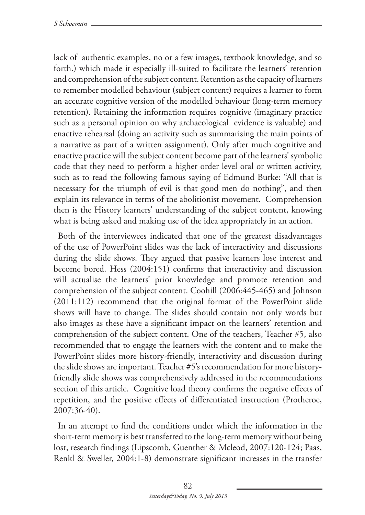lack of authentic examples, no or a few images, textbook knowledge, and so forth.) which made it especially ill-suited to facilitate the learners' retention and comprehension of the subject content. Retention as the capacity of learners to remember modelled behaviour (subject content) requires a learner to form an accurate cognitive version of the modelled behaviour (long-term memory retention). Retaining the information requires cognitive (imaginary practice such as a personal opinion on why archaeological evidence is valuable) and enactive rehearsal (doing an activity such as summarising the main points of a narrative as part of a written assignment). Only after much cognitive and enactive practice will the subject content become part of the learners' symbolic code that they need to perform a higher order level oral or written activity, such as to read the following famous saying of Edmund Burke: "All that is necessary for the triumph of evil is that good men do nothing", and then explain its relevance in terms of the abolitionist movement. Comprehension then is the History learners' understanding of the subject content, knowing what is being asked and making use of the idea appropriately in an action.

Both of the interviewees indicated that one of the greatest disadvantages of the use of PowerPoint slides was the lack of interactivity and discussions during the slide shows. They argued that passive learners lose interest and become bored. Hess (2004:151) confirms that interactivity and discussion will actualise the learners' prior knowledge and promote retention and comprehension of the subject content. Coohill (2006:445-465) and Johnson (2011:112) recommend that the original format of the PowerPoint slide shows will have to change. The slides should contain not only words but also images as these have a significant impact on the learners' retention and comprehension of the subject content. One of the teachers, Teacher #5, also recommended that to engage the learners with the content and to make the PowerPoint slides more history-friendly, interactivity and discussion during the slide shows are important. Teacher #5's recommendation for more historyfriendly slide shows was comprehensively addressed in the recommendations section of this article. Cognitive load theory confirms the negative effects of repetition, and the positive effects of differentiated instruction (Protheroe, 2007:36-40).

In an attempt to find the conditions under which the information in the short-term memory is best transferred to the long-term memory without being lost, research findings (Lipscomb, Guenther & Mcleod, 2007:120-124; Paas, Renkl & Sweller, 2004:1-8) demonstrate significant increases in the transfer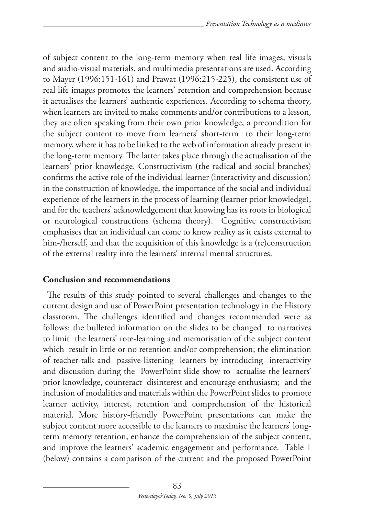of subject content to the long-term memory when real life images, visuals and audio-visual materials, and multimedia presentations are used. According to Mayer (1996:151-161) and Prawat (1996:215-225), the consistent use of real life images promotes the learners' retention and comprehension because it actualises the learners' authentic experiences. According to schema theory, when learners are invited to make comments and/or contributions to a lesson, they are often speaking from their own prior knowledge, a precondition for the subject content to move from learners' short-term to their long-term memory, where it has to be linked to the web of information already present in the long-term memory. The latter takes place through the actualisation of the learners' prior knowledge. Constructivism (the radical and social branches) confirms the active role of the individual learner (interactivity and discussion) in the construction of knowledge, the importance of the social and individual experience of the learners in the process of learning (learner prior knowledge), and for the teachers' acknowledgement that knowing has its roots in biological or neurological constructions (schema theory). Cognitive constructivism emphasises that an individual can come to know reality as it exists external to him-/herself, and that the acquisition of this knowledge is a (re)construction of the external reality into the learners' internal mental structures.

## **Conclusion and recommendations**

The results of this study pointed to several challenges and changes to the current design and use of PowerPoint presentation technology in the History classroom. The challenges identified and changes recommended were as follows: the bulleted information on the slides to be changed to narratives to limit the learners' rote-learning and memorisation of the subject content which result in little or no retention and/or comprehension; the elimination of teacher-talk and passive-listening learners by introducing interactivity and discussion during the PowerPoint slide show to actualise the learners' prior knowledge, counteract disinterest and encourage enthusiasm; and the inclusion of modalities and materials within the PowerPoint slides to promote learner activity, interest, retention and comprehension of the historical material. More history-friendly PowerPoint presentations can make the subject content more accessible to the learners to maximise the learners' longterm memory retention, enhance the comprehension of the subject content, and improve the learners' academic engagement and performance. Table 1 (below) contains a comparison of the current and the proposed PowerPoint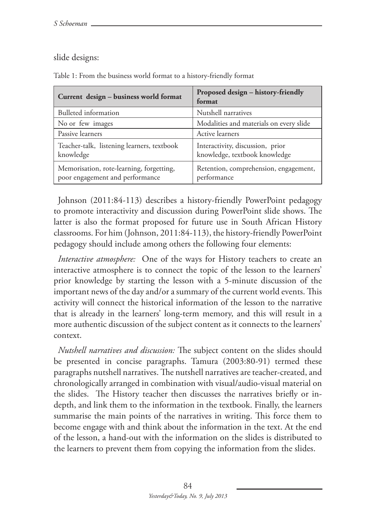## slide designs:

| Current design - business world format                                      | Proposed design - history-friendly<br>format                      |
|-----------------------------------------------------------------------------|-------------------------------------------------------------------|
| Bulleted information                                                        | Nutshell narratives                                               |
| No or few images                                                            | Modalities and materials on every slide                           |
| Passive learners                                                            | Active learners                                                   |
| Teacher-talk, listening learners, textbook<br>knowledge                     | Interactivity, discussion, prior<br>knowledge, textbook knowledge |
| Memorisation, rote-learning, forgetting,<br>poor engagement and performance | Retention, comprehension, engagement,<br>performance              |

Table 1: From the business world format to a history-friendly format

Johnson (2011:84-113) describes a history-friendly PowerPoint pedagogy to promote interactivity and discussion during PowerPoint slide shows. The latter is also the format proposed for future use in South African History classrooms. For him (Johnson, 2011:84-113), the history-friendly PowerPoint pedagogy should include among others the following four elements:

*Interactive atmosphere:* One of the ways for History teachers to create an interactive atmosphere is to connect the topic of the lesson to the learners' prior knowledge by starting the lesson with a 5-minute discussion of the important news of the day and/or a summary of the current world events. This activity will connect the historical information of the lesson to the narrative that is already in the learners' long-term memory, and this will result in a more authentic discussion of the subject content as it connects to the learners' context.

*Nutshell narratives and discussion:* The subject content on the slides should be presented in concise paragraphs. Tamura (2003:80-91) termed these paragraphs nutshell narratives. The nutshell narratives are teacher-created, and chronologically arranged in combination with visual/audio-visual material on the slides. The History teacher then discusses the narratives briefly or indepth, and link them to the information in the textbook. Finally, the learners summarise the main points of the narratives in writing. This force them to become engage with and think about the information in the text. At the end of the lesson, a hand-out with the information on the slides is distributed to the learners to prevent them from copying the information from the slides.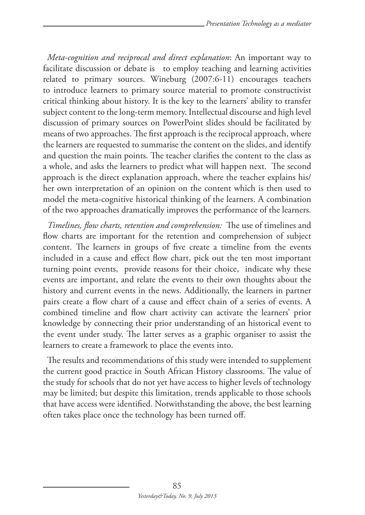*Meta-cognition and reciprocal and direct explanation*: An important way to facilitate discussion or debate is to employ teaching and learning activities related to primary sources. Wineburg (2007:6-11) encourages teachers to introduce learners to primary source material to promote constructivist critical thinking about history. It is the key to the learners' ability to transfer subject content to the long-term memory. Intellectual discourse and high level discussion of primary sources on PowerPoint slides should be facilitated by means of two approaches. The first approach is the reciprocal approach, where the learners are requested to summarise the content on the slides, and identify and question the main points. The teacher clarifies the content to the class as a whole, and asks the learners to predict what will happen next. The second approach is the direct explanation approach, where the teacher explains his/ her own interpretation of an opinion on the content which is then used to model the meta-cognitive historical thinking of the learners. A combination of the two approaches dramatically improves the performance of the learners.

*Timelines, flow charts, retention and comprehension:* The use of timelines and flow charts are important for the retention and comprehension of subject content. The learners in groups of five create a timeline from the events included in a cause and effect flow chart, pick out the ten most important turning point events, provide reasons for their choice, indicate why these events are important, and relate the events to their own thoughts about the history and current events in the news. Additionally, the learners in partner pairs create a flow chart of a cause and effect chain of a series of events. A combined timeline and flow chart activity can activate the learners' prior knowledge by connecting their prior understanding of an historical event to the event under study. The latter serves as a graphic organiser to assist the learners to create a framework to place the events into.

The results and recommendations of this study were intended to supplement the current good practice in South African History classrooms. The value of the study for schools that do not yet have access to higher levels of technology may be limited; but despite this limitation, trends applicable to those schools that have access were identified. Notwithstanding the above, the best learning often takes place once the technology has been turned off.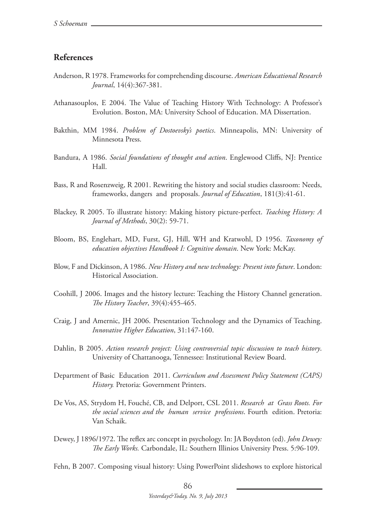#### **References**

- Anderson, R 1978. Frameworks for comprehending discourse. *American Educational Research Journal*, 14(4):367-381.
- Athanasouplos, E 2004. The Value of Teaching History With Technology: A Professor's Evolution. Boston, MA: University School of Education. MA Dissertation.
- Bakthin, MM 1984. *Problem of Dostoevsky's poetics*. Minneapolis, MN: University of Minnesota Press.
- Bandura, A 1986. *Social foundations of thought and action*. Englewood Cliffs, NJ: Prentice Hall.
- Bass, R and Rosenzweig, R 2001. Rewriting the history and social studies classroom: Needs, frameworks, dangers and proposals. *Journal of Education*, 181(3):41-61.
- Blackey, R 2005. To illustrate history: Making history picture-perfect. *Teaching History: A Journal of Methods*, 30(2): 59-71.
- Bloom, BS, Englehart, MD, Furst, GJ, Hill, WH and Kratwohl, D 1956. *Taxonomy of education objectives Handbook I: Cognitive domain*. New York: McKay.
- Blow, F and Dickinson, A 1986. *New History and new technology: Present into future*. London: Historical Association.
- Coohill, J 2006. Images and the history lecture: Teaching the History Channel generation. *The History Teacher*, 39(4):455-465.
- Craig, J and Amernic, JH 2006. Presentation Technology and the Dynamics of Teaching. *Innovative Higher Education*, 31:147-160.
- Dahlin, B 2005. *Action research project: Using controversial topic discussion to teach history*. University of Chattanooga, Tennessee: Institutional Review Board.
- Department of Basic Education 2011. *Curriculum and Assessment Policy Statement (CAPS) History.* Pretoria: Government Printers.
- De Vos, AS, Strydom H, Fouché, CB, and Delport, CSL 2011. *Research at Grass Roots. For the social sciences and the human service professions*. Fourth edition. Pretoria: Van Schaik.
- Dewey, J 1896/1972. The reflex arc concept in psychology. In: JA Boydston (ed). *John Dewey: The Early Works.* Carbondale, IL: Southern Illinios University Press. 5:96-109.

Fehn, B 2007. Composing visual history: Using PowerPoint slideshows to explore historical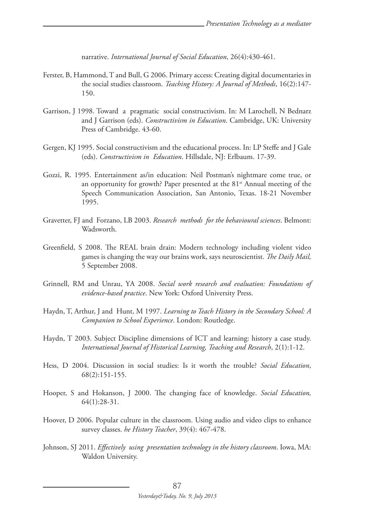narrative. *International Journal of Social Education*, 26(4):430-461.

- Ferster, B, Hammond, T and Bull, G 2006. Primary access: Creating digital documentaries in the social studies classroom. *Teaching History: A Journal of Methods*, 16(2):147- 150.
- Garrison, J 1998. Toward a pragmatic social constructivism. In: M Larochell, N Bednarz and J Garrison (eds). *Constructivism in Education*. Cambridge, UK: University Press of Cambridge. 43-60.
- Gergen, KJ 1995. Social constructivism and the educational process. In: LP Steffe and J Gale (eds). *Constructivism in Education*. Hillsdale, NJ: Erlbaum. 17-39.
- Gozzi, R. 1995. Entertainment as/in education: Neil Postman's nightmare come true, or an opportunity for growth? Paper presented at the 81<sup>st</sup> Annual meeting of the Speech Communication Association, San Antonio, Texas. 18-21 November 1995.
- Gravetter, FJ and Forzano, LB 2003. *Research methods for the behavioural sciences*. Belmont: Wadsworth.
- Greenfield, S 2008. The REAL brain drain: Modern technology including violent video games is changing the way our brains work, says neuroscientist. *The Daily Mail,* 5 September 2008.
- Grinnell, RM and Unrau, YA 2008. *Social work research and evaluation: Foundations of evidence-based practice*. New York: Oxford University Press.
- Haydn, T, Arthur, J and Hunt, M 1997. *Learning to Teach History in the Secondary School: A Companion to School Experience*. London: Routledge.
- Haydn, T 2003. Subject Discipline dimensions of ICT and learning: history a case study. *International Journal of Historical Learning, Teaching and Research*, 2(1):1-12.
- Hess, D 2004. Discussion in social studies: Is it worth the trouble? *Social Education*, 68(2):151-155.
- Hooper, S and Hokanson, J 2000. The changing face of knowledge. *Social Education,* 64(1):28-31.
- Hoover, D 2006. Popular culture in the classroom. Using audio and video clips to enhance survey classes. *he History Teacher*, 39(4): 467-478.
- Johnson, SJ 2011. *Effectively using presentation technology in the history classroom*. Iowa, MA: Waldon University.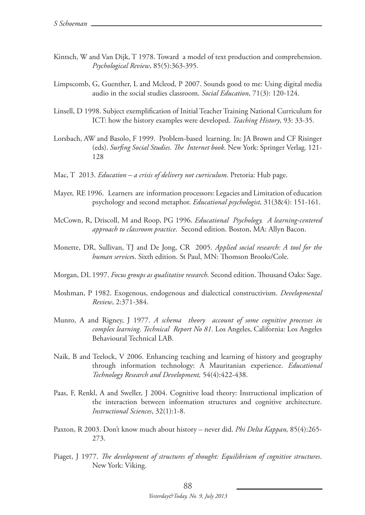- Kintsch, W and Van Dijk, T 1978. Toward a model of text production and comprehension. *Psychological Review*, 85(5):363-395.
- Limpscomb, G, Guenther, L and Mcleod, P 2007. Sounds good to me: Using digital media audio in the social studies classroom. *Social Education*, 71(3): 120-124.
- Linsell, D 1998. Subject exemplification of Initial Teacher Training National Curriculum for ICT: how the history examples were developed. *Teaching History*, 93: 33-35.
- Lorsbach, AW and Basolo, F 1999. Problem-based learning. In: JA Brown and CF Risinger (eds). *Surfing Social Studies. The Internet book*. New York: Springer Verlag. 121- 128
- Mac, T 2013. *Education a crisis of delivery not curriculum*. Pretoria: Hub page.
- Mayer, RE 1996. Learners are information processors: Legacies and Limitation of education psychology and second metaphor. *Educational psychologist,* 31(3&4): 151-161.
- McCown, R, Driscoll, M and Roop, PG 1996. *Educational Psychology. A learning-centered approach to classroom practice*. Second edition. Boston, MA: Allyn Bacon.
- Monette, DR, Sullivan, TJ and De Jong, CR 2005. *Applied social research: A tool for the human service*s. Sixth edition. St Paul, MN: Thomson Brooks/Cole.
- Morgan, DL 1997. *Focus groups as qualitative research.* Second edition. Thousand Oaks: Sage.
- Moshman, P 1982. Exogenous, endogenous and dialectical constructivism. *Developmental Review*, 2:371-384.
- Munro, A and Rigney, J 1977. *A schema theory account of some cognitive processes in complex learning. Technical Report No 81.* Los Angeles, California: Los Angeles Behavioural Technical LAB.
- Naik, B and Teelock, V 2006. Enhancing teaching and learning of history and geography through information technology: A Mauritanian experience. *Educational Technology Research and Development,* 54(4):422-438.
- Paas, F, Renkl, A and Sweller, J 2004. Cognitive load theory: Instructional implication of the interaction between information structures and cognitive architecture. *Instructional Sciences*, 32(1):1-8.
- Paxton, R 2003. Don't know much about history never did. *Phi Delta Kappan,* 85(4):265- 273.
- Piaget, J 1977. *The development of structures of thought: Equilibrium of cognitive structures*. New York: Viking.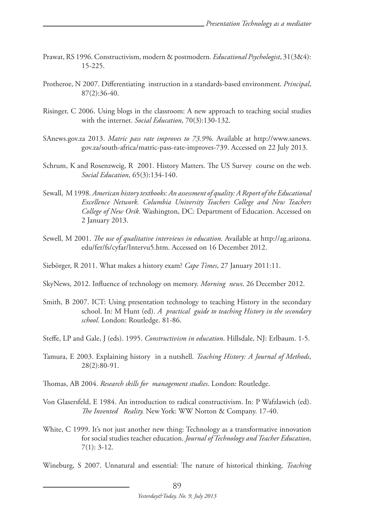- Prawat, RS 1996. Constructivism, modern & postmodern*. Educational Psychologist*, 31(3&4): 15-225.
- Protheroe, N 2007. Differentiating instruction in a standards-based environment. *Principal*, 87(2):36-40.
- Risinger, C 2006. Using blogs in the classroom: A new approach to teaching social studies with the internet. *Social Education*, 70(3):130-132.
- SAnews.gov.za 2013. *Matric pass rate improves to 73.9%.* Available at http://www.sanews. gov.za/south-africa/matric-pass-rate-improves-739. Accessed on 22 July 2013.
- Schrum, K and Rosenzweig, R 2001. History Matters. The US Survey course on the web. *Social Education*, 65(3):134-140.
- Sewall, M 1998. *American history textbooks: An assessment of quality: A Report of the Educational Excellence Network. Columbia University Teachers College and New Teachers College of New Orik.* Washington, DC: Department of Education. Accessed on 2 January 2013.
- Sewell, M 2001. *The use of qualitative interviews in education.* Available at http://ag.arizona. edu/fer/fs/cyfar/Intervu5.htm. Accessed on 16 December 2012.
- Siebörger, R 2011. What makes a history exam? *Cape Times*, 27 January 2011:11.
- SkyNews, 2012. Influence of technology on memory. *Morning news*. 26 December 2012.
- Smith, B 2007. ICT: Using presentation technology to teaching History in the secondary school. In: M Hunt (ed). *A practical guide to teaching History in the secondary school*. London: Routledge. 81-86.
- Steffe, LP and Gale, J (eds). 1995. *Constructivism in education*. Hillsdale, NJ: Erlbaum. 1-5.
- Tamura, E 2003. Explaining history in a nutshell. *Teaching History: A Journal of Methods*, 28(2):80-91.
- Thomas, AB 2004. *Research skills for management studies*. London: Routledge.
- Von Glasersfeld, E 1984. An introduction to radical constructivism. In: P Wafzlawich (ed). *The Invented Reality.* New York: WW Norton & Company. 17-40.
- White, C 1999. It's not just another new thing: Technology as a transformative innovation for social studies teacher education. *Journal of Technology and Teacher Education*, 7(1): 3-12.

Wineburg, S 2007. Unnatural and essential: The nature of historical thinking. *Teaching*